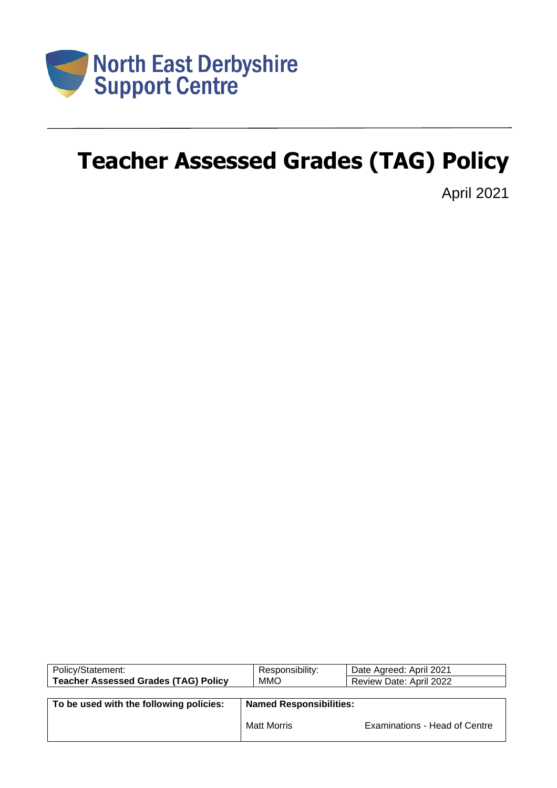

# **Teacher Assessed Grades (TAG) Policy**

April 2021

| Policy/Statement:                           | Responsibility:                | Date Agreed: April 2021       |  |  |  |
|---------------------------------------------|--------------------------------|-------------------------------|--|--|--|
| <b>Teacher Assessed Grades (TAG) Policy</b> | <b>MMO</b>                     | Review Date: April 2022       |  |  |  |
|                                             |                                |                               |  |  |  |
| To be used with the following policies:     | <b>Named Responsibilities:</b> |                               |  |  |  |
|                                             | <b>Matt Morris</b>             | Examinations - Head of Centre |  |  |  |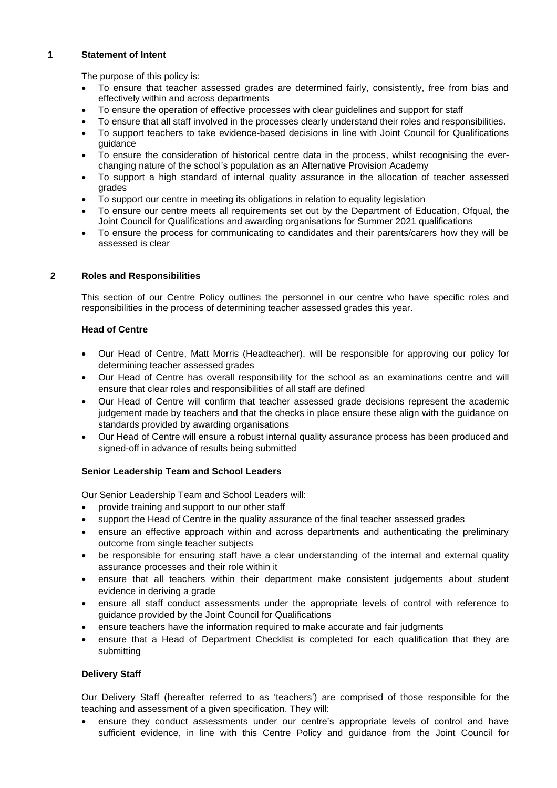# **1 Statement of Intent**

The purpose of this policy is:

- To ensure that teacher assessed grades are determined fairly, consistently, free from bias and effectively within and across departments
- To ensure the operation of effective processes with clear guidelines and support for staff
- To ensure that all staff involved in the processes clearly understand their roles and responsibilities.
- To support teachers to take evidence-based decisions in line with Joint Council for Qualifications guidance
- To ensure the consideration of historical centre data in the process, whilst recognising the everchanging nature of the school's population as an Alternative Provision Academy
- To support a high standard of internal quality assurance in the allocation of teacher assessed grades
- To support our centre in meeting its obligations in relation to equality legislation
- To ensure our centre meets all requirements set out by the Department of Education, Ofqual, the Joint Council for Qualifications and awarding organisations for Summer 2021 qualifications
- To ensure the process for communicating to candidates and their parents/carers how they will be assessed is clear

# **2 Roles and Responsibilities**

This section of our Centre Policy outlines the personnel in our centre who have specific roles and responsibilities in the process of determining teacher assessed grades this year.

# **Head of Centre**

- Our Head of Centre, Matt Morris (Headteacher), will be responsible for approving our policy for determining teacher assessed grades
- Our Head of Centre has overall responsibility for the school as an examinations centre and will ensure that clear roles and responsibilities of all staff are defined
- Our Head of Centre will confirm that teacher assessed grade decisions represent the academic judgement made by teachers and that the checks in place ensure these align with the guidance on standards provided by awarding organisations
- Our Head of Centre will ensure a robust internal quality assurance process has been produced and signed-off in advance of results being submitted

# **Senior Leadership Team and School Leaders**

Our Senior Leadership Team and School Leaders will:

- provide training and support to our other staff
- support the Head of Centre in the quality assurance of the final teacher assessed grades
- ensure an effective approach within and across departments and authenticating the preliminary outcome from single teacher subjects
- be responsible for ensuring staff have a clear understanding of the internal and external quality assurance processes and their role within it
- ensure that all teachers within their department make consistent judgements about student evidence in deriving a grade
- ensure all staff conduct assessments under the appropriate levels of control with reference to guidance provided by the Joint Council for Qualifications
- ensure teachers have the information required to make accurate and fair judgments
- ensure that a Head of Department Checklist is completed for each qualification that they are submitting

# **Delivery Staff**

Our Delivery Staff (hereafter referred to as 'teachers') are comprised of those responsible for the teaching and assessment of a given specification. They will:

• ensure they conduct assessments under our centre's appropriate levels of control and have sufficient evidence, in line with this Centre Policy and guidance from the Joint Council for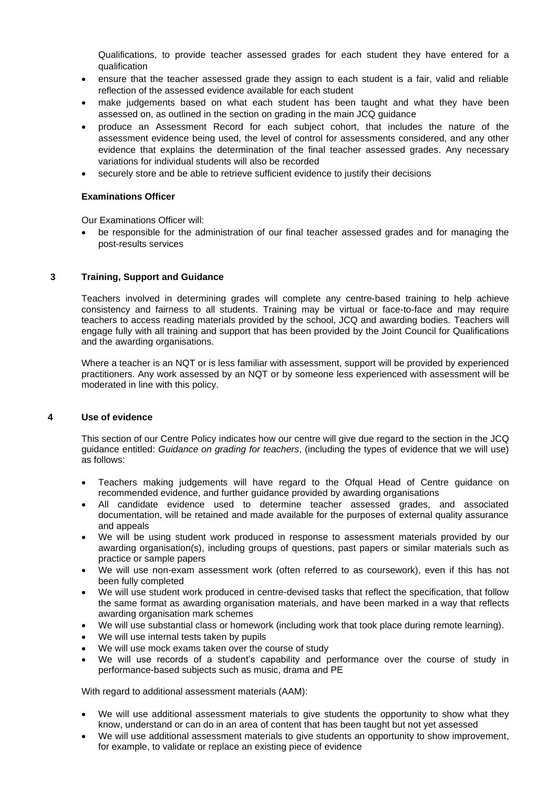Qualifications, to provide teacher assessed grades for each student they have entered for a qualification

- ensure that the teacher assessed grade they assign to each student is a fair, valid and reliable reflection of the assessed evidence available for each student
- make judgements based on what each student has been taught and what they have been assessed on, as outlined in the section on grading in the main JCQ guidance
- produce an Assessment Record for each subject cohort, that includes the nature of the assessment evidence being used, the level of control for assessments considered, and any other evidence that explains the determination of the final teacher assessed grades. Any necessary variations for individual students will also be recorded
- securely store and be able to retrieve sufficient evidence to justify their decisions

# **Examinations Officer**

Our Examinations Officer will:

• be responsible for the administration of our final teacher assessed grades and for managing the post-results services

# **3 Training, Support and Guidance**

Teachers involved in determining grades will complete any centre-based training to help achieve consistency and fairness to all students. Training may be virtual or face-to-face and may require teachers to access reading materials provided by the school, JCQ and awarding bodies. Teachers will engage fully with all training and support that has been provided by the Joint Council for Qualifications and the awarding organisations.

Where a teacher is an NQT or is less familiar with assessment, support will be provided by experienced practitioners. Any work assessed by an NQT or by someone less experienced with assessment will be moderated in line with this policy.

# **4 Use of evidence**

This section of our Centre Policy indicates how our centre will give due regard to the section in the JCQ guidance entitled: *Guidance on grading for teachers*, (including the types of evidence that we will use) as follows:

- Teachers making judgements will have regard to the Ofqual Head of Centre guidance on recommended evidence, and further guidance provided by awarding organisations
- All candidate evidence used to determine teacher assessed grades, and associated documentation, will be retained and made available for the purposes of external quality assurance and appeals
- We will be using student work produced in response to assessment materials provided by our awarding organisation(s), including groups of questions, past papers or similar materials such as practice or sample papers
- We will use non-exam assessment work (often referred to as coursework), even if this has not been fully completed
- We will use student work produced in centre-devised tasks that reflect the specification, that follow the same format as awarding organisation materials, and have been marked in a way that reflects awarding organisation mark schemes
- We will use substantial class or homework (including work that took place during remote learning).
- We will use internal tests taken by pupils
- We will use mock exams taken over the course of study
- We will use records of a student's capability and performance over the course of study in performance-based subjects such as music, drama and PE

With regard to additional assessment materials (AAM):

- We will use additional assessment materials to give students the opportunity to show what they know, understand or can do in an area of content that has been taught but not yet assessed
- We will use additional assessment materials to give students an opportunity to show improvement, for example, to validate or replace an existing piece of evidence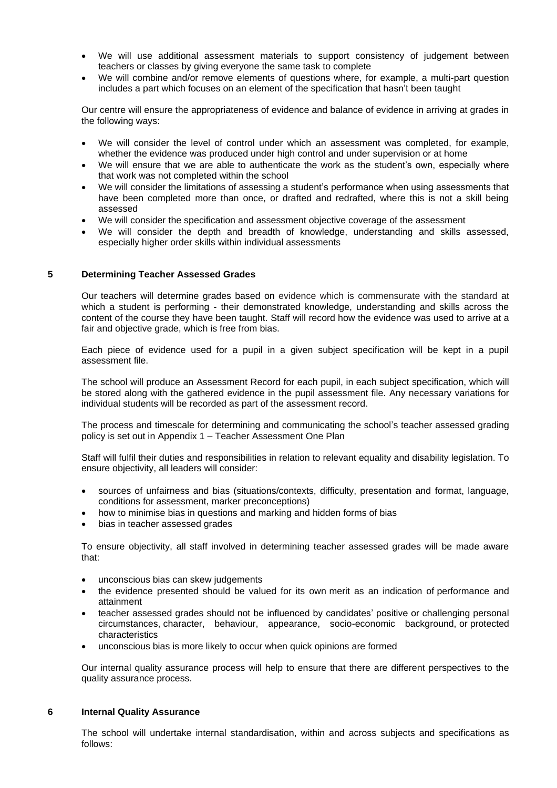- We will use additional assessment materials to support consistency of judgement between teachers or classes by giving everyone the same task to complete
- We will combine and/or remove elements of questions where, for example, a multi-part question includes a part which focuses on an element of the specification that hasn't been taught

Our centre will ensure the appropriateness of evidence and balance of evidence in arriving at grades in the following ways:

- We will consider the level of control under which an assessment was completed, for example, whether the evidence was produced under high control and under supervision or at home
- We will ensure that we are able to authenticate the work as the student's own, especially where that work was not completed within the school
- We will consider the limitations of assessing a student's performance when using assessments that have been completed more than once, or drafted and redrafted, where this is not a skill being assessed
- We will consider the specification and assessment objective coverage of the assessment
- We will consider the depth and breadth of knowledge, understanding and skills assessed, especially higher order skills within individual assessments

# **5 Determining Teacher Assessed Grades**

Our teachers will determine grades based on evidence which is commensurate with the standard at which a student is performing - their demonstrated knowledge, understanding and skills across the content of the course they have been taught. Staff will record how the evidence was used to arrive at a fair and objective grade, which is free from bias.

Each piece of evidence used for a pupil in a given subject specification will be kept in a pupil assessment file.

The school will produce an Assessment Record for each pupil, in each subject specification, which will be stored along with the gathered evidence in the pupil assessment file. Any necessary variations for individual students will be recorded as part of the assessment record.

The process and timescale for determining and communicating the school's teacher assessed grading policy is set out in Appendix 1 – Teacher Assessment One Plan

Staff will fulfil their duties and responsibilities in relation to relevant equality and disability legislation. To ensure objectivity, all leaders will consider:

- sources of unfairness and bias (situations/contexts, difficulty, presentation and format, language, conditions for assessment, marker preconceptions)
- how to minimise bias in questions and marking and hidden forms of bias
- bias in teacher assessed grades

To ensure objectivity, all staff involved in determining teacher assessed grades will be made aware that:

- unconscious bias can skew judgements
- the evidence presented should be valued for its own merit as an indication of performance and attainment
- teacher assessed grades should not be influenced by candidates' positive or challenging personal circumstances, character, behaviour, appearance, socio-economic background, or protected characteristics
- unconscious bias is more likely to occur when quick opinions are formed

Our internal quality assurance process will help to ensure that there are different perspectives to the quality assurance process.

#### **6 Internal Quality Assurance**

The school will undertake internal standardisation, within and across subjects and specifications as follows: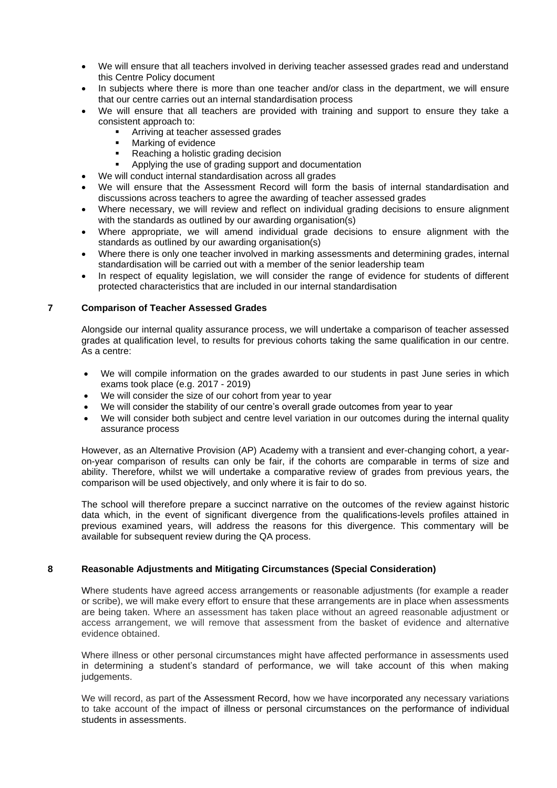- We will ensure that all teachers involved in deriving teacher assessed grades read and understand this Centre Policy document
- In subjects where there is more than one teacher and/or class in the department, we will ensure that our centre carries out an internal standardisation process
- We will ensure that all teachers are provided with training and support to ensure they take a consistent approach to:
	- **EXEC** Arriving at teacher assessed grades
	- Marking of evidence
	- Reaching a holistic grading decision
	- Applying the use of grading support and documentation
	- We will conduct internal standardisation across all grades
- We will ensure that the Assessment Record will form the basis of internal standardisation and discussions across teachers to agree the awarding of teacher assessed grades
- Where necessary, we will review and reflect on individual grading decisions to ensure alignment with the standards as outlined by our awarding organisation(s)
- Where appropriate, we will amend individual grade decisions to ensure alignment with the standards as outlined by our awarding organisation(s)
- Where there is only one teacher involved in marking assessments and determining grades, internal standardisation will be carried out with a member of the senior leadership team
- In respect of equality legislation, we will consider the range of evidence for students of different protected characteristics that are included in our internal standardisation

# **7 Comparison of Teacher Assessed Grades**

Alongside our internal quality assurance process, we will undertake a comparison of teacher assessed grades at qualification level, to results for previous cohorts taking the same qualification in our centre. As a centre:

- We will compile information on the grades awarded to our students in past June series in which exams took place (e.g. 2017 - 2019)
- We will consider the size of our cohort from year to year
- We will consider the stability of our centre's overall grade outcomes from year to year
- We will consider both subject and centre level variation in our outcomes during the internal quality assurance process

However, as an Alternative Provision (AP) Academy with a transient and ever-changing cohort, a yearon-year comparison of results can only be fair, if the cohorts are comparable in terms of size and ability. Therefore, whilst we will undertake a comparative review of grades from previous years, the comparison will be used objectively, and only where it is fair to do so.

The school will therefore prepare a succinct narrative on the outcomes of the review against historic data which, in the event of significant divergence from the qualifications-levels profiles attained in previous examined years, will address the reasons for this divergence. This commentary will be available for subsequent review during the QA process.

#### **8 Reasonable Adjustments and Mitigating Circumstances (Special Consideration)**

Where students have agreed access arrangements or reasonable adjustments (for example a reader or scribe), we will make every effort to ensure that these arrangements are in place when assessments are being taken. Where an assessment has taken place without an agreed reasonable adjustment or access arrangement, we will remove that assessment from the basket of evidence and alternative evidence obtained.

Where illness or other personal circumstances might have affected performance in assessments used in determining a student's standard of performance, we will take account of this when making judgements.

We will record, as part of the Assessment Record, how we have incorporated any necessary variations to take account of the impact of illness or personal circumstances on the performance of individual students in assessments.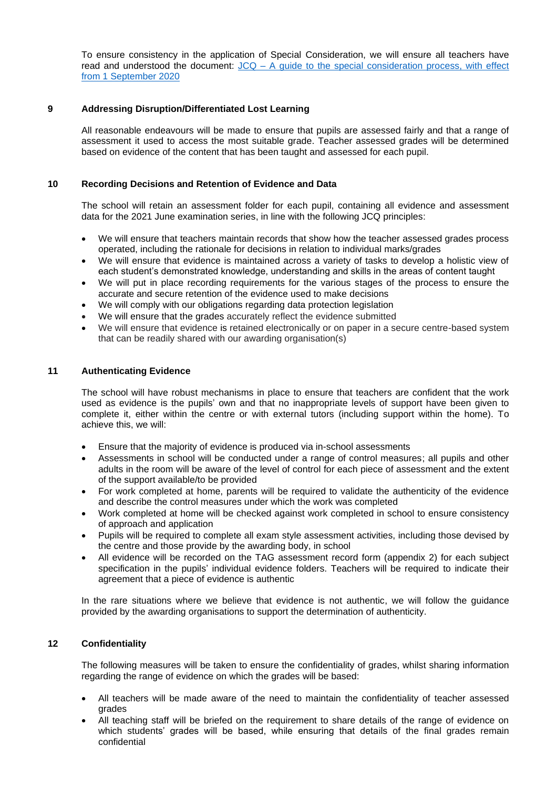To ensure consistency in the application of Special Consideration, we will ensure all teachers have read and understood the document: JCQ – [A guide to the special consideration process, with effect](https://www.jcq.org.uk/wp-content/uploads/2020/08/A-guide-to-the-spec-con-process-202021-Website-version.pdf)  [from 1 September 2020](https://www.jcq.org.uk/wp-content/uploads/2020/08/A-guide-to-the-spec-con-process-202021-Website-version.pdf)

# **9 Addressing Disruption/Differentiated Lost Learning**

All reasonable endeavours will be made to ensure that pupils are assessed fairly and that a range of assessment it used to access the most suitable grade. Teacher assessed grades will be determined based on evidence of the content that has been taught and assessed for each pupil.

# **10 Recording Decisions and Retention of Evidence and Data**

The school will retain an assessment folder for each pupil, containing all evidence and assessment data for the 2021 June examination series, in line with the following JCQ principles:

- We will ensure that teachers maintain records that show how the teacher assessed grades process operated, including the rationale for decisions in relation to individual marks/grades
- We will ensure that evidence is maintained across a variety of tasks to develop a holistic view of each student's demonstrated knowledge, understanding and skills in the areas of content taught
- We will put in place recording requirements for the various stages of the process to ensure the accurate and secure retention of the evidence used to make decisions
- We will comply with our obligations regarding data protection legislation
- We will ensure that the grades accurately reflect the evidence submitted
- We will ensure that evidence is retained electronically or on paper in a secure centre-based system that can be readily shared with our awarding organisation(s)

#### **11 Authenticating Evidence**

The school will have robust mechanisms in place to ensure that teachers are confident that the work used as evidence is the pupils' own and that no inappropriate levels of support have been given to complete it, either within the centre or with external tutors (including support within the home). To achieve this, we will:

- Ensure that the majority of evidence is produced via in-school assessments
- Assessments in school will be conducted under a range of control measures; all pupils and other adults in the room will be aware of the level of control for each piece of assessment and the extent of the support available/to be provided
- For work completed at home, parents will be required to validate the authenticity of the evidence and describe the control measures under which the work was completed
- Work completed at home will be checked against work completed in school to ensure consistency of approach and application
- Pupils will be required to complete all exam style assessment activities, including those devised by the centre and those provide by the awarding body, in school
- All evidence will be recorded on the TAG assessment record form (appendix 2) for each subject specification in the pupils' individual evidence folders. Teachers will be required to indicate their agreement that a piece of evidence is authentic

In the rare situations where we believe that evidence is not authentic, we will follow the guidance provided by the awarding organisations to support the determination of authenticity.

#### **12 Confidentiality**

The following measures will be taken to ensure the confidentiality of grades, whilst sharing information regarding the range of evidence on which the grades will be based:

- All teachers will be made aware of the need to maintain the confidentiality of teacher assessed grades
- All teaching staff will be briefed on the requirement to share details of the range of evidence on which students' grades will be based, while ensuring that details of the final grades remain confidential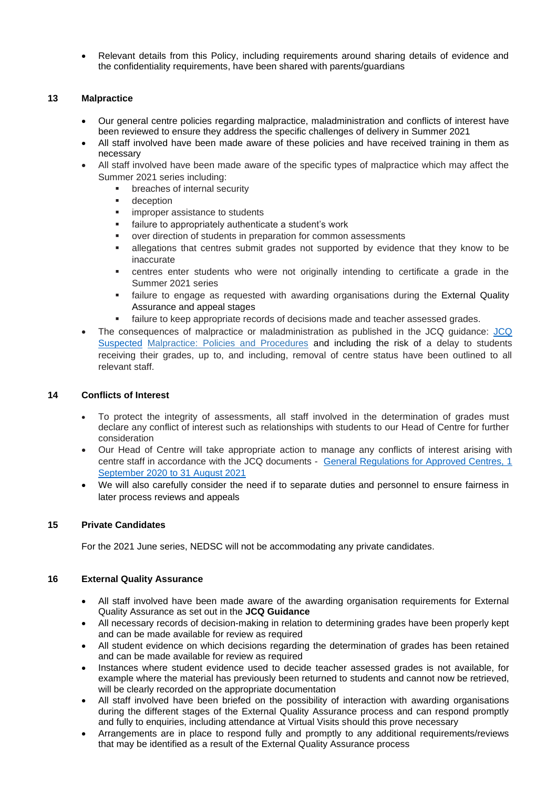• Relevant details from this Policy, including requirements around sharing details of evidence and the confidentiality requirements, have been shared with parents/guardians

# **13 Malpractice**

- Our general centre policies regarding malpractice, maladministration and conflicts of interest have been reviewed to ensure they address the specific challenges of delivery in Summer 2021
- All staff involved have been made aware of these policies and have received training in them as necessary
- All staff involved have been made aware of the specific types of malpractice which may affect the Summer 2021 series including:
	- breaches of internal security
	- deception
	- **■** improper assistance to students
	- failure to appropriately authenticate a student's work
	- over direction of students in preparation for common assessments
	- **Example 1** allegations that centres submit grades not supported by evidence that they know to be inaccurate
	- **•** centres enter students who were not originally intending to certificate a grade in the Summer 2021 series
	- **.** failure to engage as requested with awarding organisations during the External Quality Assurance and appeal stages
	- **EXECTE FAILURE 13 FAMOR FIGHTS IN A FIGHTS A** failure to keep appropriate records of decisions made and teacher assessed grades.
- The consequences of malpractice or maladministration as published in the JCQ guidance: [JCQ](https://www.jcq.org.uk/exams-office/malpractice/jcq-suspected-malpractice-policies-and-procedures-2019-2020)  [Suspected](https://www.jcq.org.uk/exams-office/malpractice/jcq-suspected-malpractice-policies-and-procedures-2019-2020) Malpractice: Policies and Procedures and including the risk of a delay to students receiving their grades, up to, and including, removal of centre status have been outlined to all relevant staff.

#### **14 Conflicts of Interest**

- To protect the integrity of assessments, all staff involved in the determination of grades must declare any conflict of interest such as relationships with students to our Head of Centre for further consideration
- Our Head of Centre will take appropriate action to manage any conflicts of interest arising with centre staff in accordance with the JCQ documents - General Regulations for Approved Centres, 1 [September 2020 to 31 August 2021](https://www.jcq.org.uk/wp-content/uploads/2020/09/Gen_regs_approved_centres_20-21_FINAL.pdf)
- We will also carefully consider the need if to separate duties and personnel to ensure fairness in later process reviews and appeals

#### **15 Private Candidates**

For the 2021 June series, NEDSC will not be accommodating any private candidates.

# **16 External Quality Assurance**

- All staff involved have been made aware of the awarding organisation requirements for External Quality Assurance as set out in the **JCQ Guidance**
- All necessary records of decision-making in relation to determining grades have been properly kept and can be made available for review as required
- All student evidence on which decisions regarding the determination of grades has been retained and can be made available for review as required
- Instances where student evidence used to decide teacher assessed grades is not available, for example where the material has previously been returned to students and cannot now be retrieved, will be clearly recorded on the appropriate documentation
- All staff involved have been briefed on the possibility of interaction with awarding organisations during the different stages of the External Quality Assurance process and can respond promptly and fully to enquiries, including attendance at Virtual Visits should this prove necessary
- Arrangements are in place to respond fully and promptly to any additional requirements/reviews that may be identified as a result of the External Quality Assurance process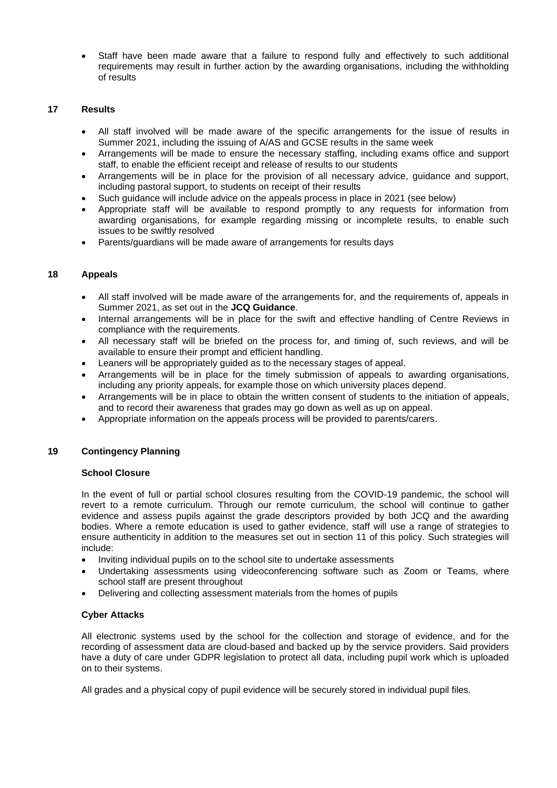• Staff have been made aware that a failure to respond fully and effectively to such additional requirements may result in further action by the awarding organisations, including the withholding of results

# **17 Results**

- All staff involved will be made aware of the specific arrangements for the issue of results in Summer 2021, including the issuing of A/AS and GCSE results in the same week
- Arrangements will be made to ensure the necessary staffing, including exams office and support staff, to enable the efficient receipt and release of results to our students
- Arrangements will be in place for the provision of all necessary advice, guidance and support, including pastoral support, to students on receipt of their results
- Such guidance will include advice on the appeals process in place in 2021 (see below)
- Appropriate staff will be available to respond promptly to any requests for information from awarding organisations, for example regarding missing or incomplete results, to enable such issues to be swiftly resolved
- Parents/guardians will be made aware of arrangements for results days

#### **18 Appeals**

- All staff involved will be made aware of the arrangements for, and the requirements of, appeals in Summer 2021, as set out in the **JCQ Guidance**.
- Internal arrangements will be in place for the swift and effective handling of Centre Reviews in compliance with the requirements.
- All necessary staff will be briefed on the process for, and timing of, such reviews, and will be available to ensure their prompt and efficient handling.
- Leaners will be appropriately guided as to the necessary stages of appeal.
- Arrangements will be in place for the timely submission of appeals to awarding organisations, including any priority appeals, for example those on which university places depend.
- Arrangements will be in place to obtain the written consent of students to the initiation of appeals, and to record their awareness that grades may go down as well as up on appeal.
- Appropriate information on the appeals process will be provided to parents/carers.

#### **19 Contingency Planning**

#### **School Closure**

In the event of full or partial school closures resulting from the COVID-19 pandemic, the school will revert to a remote curriculum. Through our remote curriculum, the school will continue to gather evidence and assess pupils against the grade descriptors provided by both JCQ and the awarding bodies. Where a remote education is used to gather evidence, staff will use a range of strategies to ensure authenticity in addition to the measures set out in section 11 of this policy. Such strategies will include:

- Inviting individual pupils on to the school site to undertake assessments
- Undertaking assessments using videoconferencing software such as Zoom or Teams, where school staff are present throughout
- Delivering and collecting assessment materials from the homes of pupils

# **Cyber Attacks**

All electronic systems used by the school for the collection and storage of evidence, and for the recording of assessment data are cloud-based and backed up by the service providers. Said providers have a duty of care under GDPR legislation to protect all data, including pupil work which is uploaded on to their systems.

All grades and a physical copy of pupil evidence will be securely stored in individual pupil files.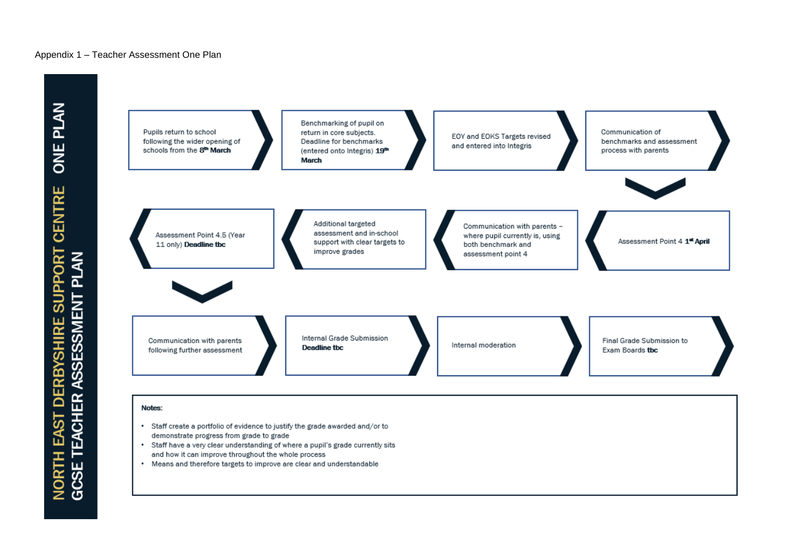#### Appendix 1 – Teacher Assessment One Plan



- demonstrate progress from grade to grade
- Staff have a very clear understanding of where a pupil's grade currently sits  $\bullet$ and how it can improve throughout the whole process
- Means and therefore targets to improve are clear and understandable